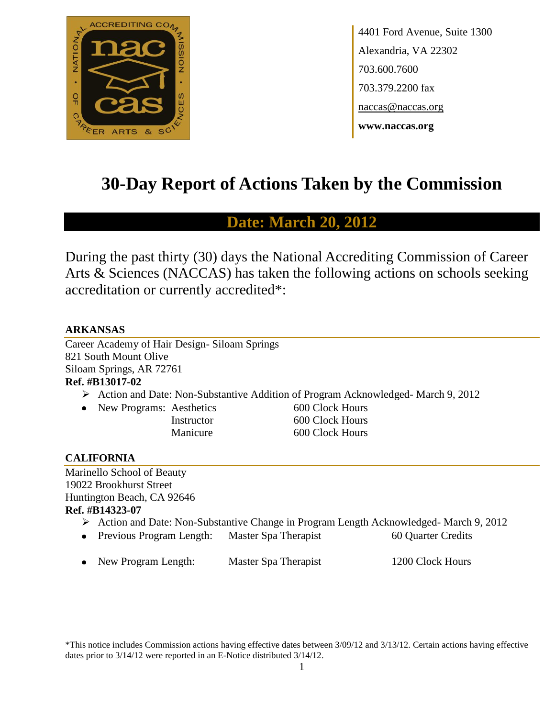

4401 Ford Avenue, Suite 1300 Alexandria, VA 22302 703.600.7600 703.379.2200 fax naccas@naccas.org **www.naccas.org**

# **30-Day Report of Actions Taken by the Commission**

## **Date: March 20, 2012**

During the past thirty (30) days the National Accrediting Commission of Career Arts & Sciences (NACCAS) has taken the following actions on schools seeking accreditation or currently accredited\*:

## **ARKANSAS**

Career Academy of Hair Design- Siloam Springs 821 South Mount Olive Siloam Springs, AR 72761

## **Ref. #B13017-02**

- Action and Date: Non-Substantive Addition of Program Acknowledged- March 9, 2012
- New Programs: Aesthetics 600 Clock Hours

Instructor 600 Clock Hours Manicure 600 Clock Hours

## **CALIFORNIA**

Marinello School of Beauty 19022 Brookhurst Street Huntington Beach, CA 92646 **Ref. #B14323-07**

- Action and Date: Non-Substantive Change in Program Length Acknowledged- March 9, 2012
- Previous Program Length: Master Spa Therapist 60 Quarter Credits
- New Program Length: Master Spa Therapist 1200 Clock Hours

\*This notice includes Commission actions having effective dates between 3/09/12 and 3/13/12. Certain actions having effective dates prior to 3/14/12 were reported in an E-Notice distributed 3/14/12.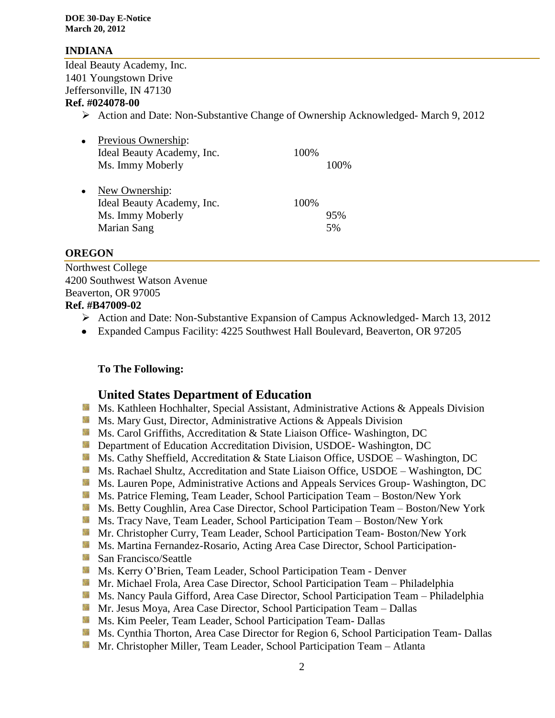#### **INDIANA**

Ideal Beauty Academy, Inc. 1401 Youngstown Drive Jeffersonville, IN 47130

#### **Ref. #024078-00**

Action and Date: Non-Substantive Change of Ownership Acknowledged- March 9, 2012

| $\bullet$ | Previous Ownership:        |      |      |
|-----------|----------------------------|------|------|
|           | Ideal Beauty Academy, Inc. | 100% |      |
|           | Ms. Immy Moberly           |      | 100% |
| $\bullet$ | New Ownership:             |      |      |
|           | Ideal Beauty Academy, Inc. | 100% |      |
|           | Ms. Immy Moberly           |      | 95%  |
|           | Marian Sang                |      | 5%   |

#### **OREGON**

Northwest College 4200 Southwest Watson Avenue Beaverton, OR 97005

## **Ref. #B47009-02**

- Action and Date: Non-Substantive Expansion of Campus Acknowledged- March 13, 2012
- Expanded Campus Facility: 4225 Southwest Hall Boulevard, Beaverton, OR 97205

### **To The Following:**

### **United States Department of Education**

- **Ms. Kathleen Hochhalter, Special Assistant, Administrative Actions & Appeals Division**
- **Ms. Mary Gust, Director, Administrative Actions & Appeals Division**
- **Ms.** Carol Griffiths, Accreditation & State Liaison Office-Washington, DC
- **Department of Education Accreditation Division, USDOE-Washington, DC**
- Ms. Cathy Sheffield, Accreditation & State Liaison Office, USDOE Washington, DC
- **M** Ms. Rachael Shultz, Accreditation and State Liaison Office, USDOE Washington, DC
- Ms. Lauren Pope, Administrative Actions and Appeals Services Group-Washington, DC
- Ms. Patrice Fleming, Team Leader, School Participation Team Boston/New York
- Ms. Betty Coughlin, Area Case Director, School Participation Team Boston/New York
- Ms. Tracy Nave, Team Leader, School Participation Team Boston/New York
- Mr. Christopher Curry, Team Leader, School Participation Team-Boston/New York
- **Ms. Martina Fernandez-Rosario, Acting Area Case Director, School Participation-**
- **San Francisco/Seattle**
- **Ms. Kerry O'Brien, Team Leader, School Participation Team Denver**
- Mr. Michael Frola, Area Case Director, School Participation Team Philadelphia
- **Ms. Nancy Paula Gifford, Area Case Director, School Participation Team Philadelphia**
- Mr. Jesus Moya, Area Case Director, School Participation Team Dallas
- **Ms. Kim Peeler, Team Leader, School Participation Team- Dallas**
- **Ms.** Cynthia Thorton, Area Case Director for Region 6, School Participation Team- Dallas
- **Mr. Christopher Miller, Team Leader, School Participation Team Atlanta**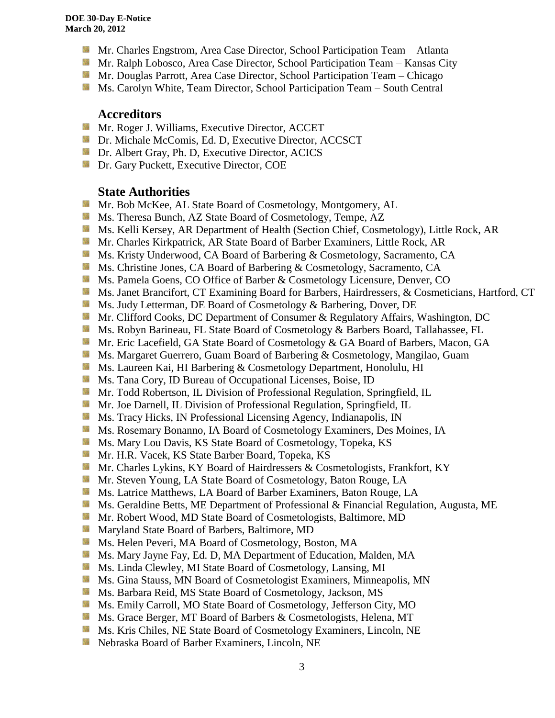- **Mr.** Charles Engstrom, Area Case Director, School Participation Team Atlanta
- **Mr. Ralph Lobosco, Area Case Director, School Participation Team Kansas City**
- **Mr. Douglas Parrott, Area Case Director, School Participation Team Chicago**
- **Ms. Carolyn White, Team Director, School Participation Team South Central**

#### **Accreditors**

- **Mr. Roger J. Williams, Executive Director, ACCET**
- **Dr. Michale McComis, Ed. D, Executive Director, ACCSCT**
- **Dr.** Albert Gray, Ph. D, Executive Director, ACICS
- **Dr.** Gary Puckett, Executive Director, COE

#### **State Authorities**

- 锦 Mr. Bob McKee, AL State Board of Cosmetology, Montgomery, AL
- 锦 Ms. Theresa Bunch, AZ State Board of Cosmetology, Tempe, AZ
- Ms. Kelli Kersey, AR Department of Health (Section Chief, Cosmetology), Little Rock, AR
- **Mr. Charles Kirkpatrick, AR State Board of Barber Examiners, Little Rock, AR**
- 59 Ms. Kristy Underwood, CA Board of Barbering & Cosmetology, Sacramento, CA
- Ms. Christine Jones, CA Board of Barbering & Cosmetology, Sacramento, CA
- Ms. Pamela Goens, CO Office of Barber & Cosmetology Licensure, Denver, CO
- Ms. Janet Brancifort, CT Examining Board for Barbers, Hairdressers, & Cosmeticians, Hartford, CT
- Ms. Judy Letterman, DE Board of Cosmetology & Barbering, Dover, DE Sila
- 59 Mr. Clifford Cooks, DC Department of Consumer & Regulatory Affairs, Washington, DC
- **Ms. Robyn Barineau, FL State Board of Cosmetology & Barbers Board, Tallahassee, FL**
- 58 Mr. Eric Lacefield, GA State Board of Cosmetology & GA Board of Barbers, Macon, GA
- **M** Ms. Margaret Guerrero, Guam Board of Barbering & Cosmetology, Mangilao, Guam
- **Ms. Laureen Kai, HI Barbering & Cosmetology Department, Honolulu, HI**
- **Ms.** Tana Cory, ID Bureau of Occupational Licenses, Boise, ID
- **Mr.** Todd Robertson, IL Division of Professional Regulation, Springfield, IL
- **Mr.** Joe Darnell, IL Division of Professional Regulation, Springfield, IL
- **MS.** Tracy Hicks, IN Professional Licensing Agency, Indianapolis, IN
- **Ms. Rosemary Bonanno, IA Board of Cosmetology Examiners, Des Moines, IA**
- **Ms. Mary Lou Davis, KS State Board of Cosmetology, Topeka, KS**
- Mr. H.R. Vacek, KS State Barber Board, Topeka, KS
- Mr. Charles Lykins, KY Board of Hairdressers & Cosmetologists, Frankfort, KY
- S. Mr. Steven Young, LA State Board of Cosmetology, Baton Rouge, LA
- Ms. Latrice Matthews, LA Board of Barber Examiners, Baton Rouge, LA
- Ms. Geraldine Betts, ME Department of Professional & Financial Regulation, Augusta, ME Sila
- Sille. Mr. Robert Wood, MD State Board of Cosmetologists, Baltimore, MD
- **Maryland State Board of Barbers, Baltimore, MD**
- Ms. Helen Peveri, MA Board of Cosmetology, Boston, MA SS.
- **MS.** Mary Jayne Fay, Ed. D, MA Department of Education, Malden, MA
- Sila Ms. Linda Clewley, MI State Board of Cosmetology, Lansing, MI
- Silla. Ms. Gina Stauss, MN Board of Cosmetologist Examiners, Minneapolis, MN
- Ms. Barbara Reid, MS State Board of Cosmetology, Jackson, MS
- **Ms.** Emily Carroll, MO State Board of Cosmetology, Jefferson City, MO
- Ms. Grace Berger, MT Board of Barbers & Cosmetologists, Helena, MT
- **Ms.** Kris Chiles, NE State Board of Cosmetology Examiners, Lincoln, NE
- **Nebraska Board of Barber Examiners, Lincoln, NE**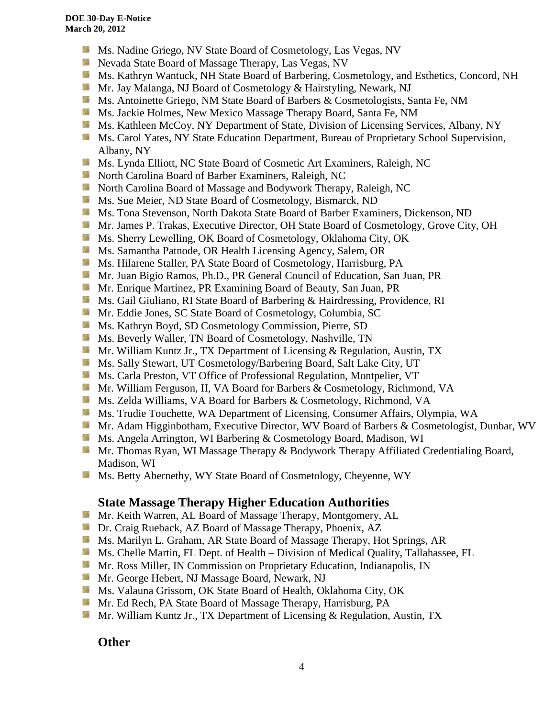- **Ms.** Nadine Griego, NV State Board of Cosmetology, Las Vegas, NV
- **Nevada State Board of Massage Therapy, Las Vegas, NV**
- Ms. Kathryn Wantuck, NH State Board of Barbering, Cosmetology, and Esthetics, Concord, NH
- **Mr. Jay Malanga, NJ Board of Cosmetology & Hairstyling, Newark, NJ**
- **Ms.** Antoinette Griego, NM State Board of Barbers & Cosmetologists, Santa Fe, NM
- **Ms. Jackie Holmes, New Mexico Massage Therapy Board, Santa Fe, NM**
- Ms. Kathleen McCoy, NY Department of State, Division of Licensing Services, Albany, NY
- **MS. Carol Yates, NY State Education Department, Bureau of Proprietary School Supervision,** Albany, NY
- 59 Ms. Lynda Elliott, NC State Board of Cosmetic Art Examiners, Raleigh, NC
- **North Carolina Board of Barber Examiners, Raleigh, NC**
- 56 North Carolina Board of Massage and Bodywork Therapy, Raleigh, NC
- **Ms. Sue Meier, ND State Board of Cosmetology, Bismarck, ND**
- **MS.** Tona Stevenson, North Dakota State Board of Barber Examiners, Dickenson, ND
- Mr. James P. Trakas, Executive Director, OH State Board of Cosmetology, Grove City, OH
- Ms. Sherry Lewelling, OK Board of Cosmetology, Oklahoma City, OK
- **Ms. Samantha Patnode, OR Health Licensing Agency, Salem, OR**
- **Ms. Hilarene Staller, PA State Board of Cosmetology, Harrisburg, PA**
- **Mr. Juan Bigio Ramos, Ph.D., PR General Council of Education, San Juan, PR**
- **Mr.** Enrique Martinez, PR Examining Board of Beauty, San Juan, PR
- **Ms. Gail Giuliano, RI State Board of Barbering & Hairdressing, Providence, RI**
- 56 Mr. Eddie Jones, SC State Board of Cosmetology, Columbia, SC
- Ms. Kathryn Boyd, SD Cosmetology Commission, Pierre, SD
- Ms. Beverly Waller, TN Board of Cosmetology, Nashville, TN
- 59 Mr. William Kuntz Jr., TX Department of Licensing & Regulation, Austin, TX
- Ms. Sally Stewart, UT Cosmetology/Barbering Board, Salt Lake City, UT
- **Ms. Carla Preston, VT Office of Professional Regulation, Montpelier, VT**
- Mr. William Ferguson, II, VA Board for Barbers & Cosmetology, Richmond, VA
- **Ms. Zelda Williams, VA Board for Barbers & Cosmetology, Richmond, VA**
- Ms. Trudie Touchette, WA Department of Licensing, Consumer Affairs, Olympia, WA
- **Mr.** Adam Higginbotham, Executive Director, WV Board of Barbers & Cosmetologist, Dunbar, WV
- Ms. Angela Arrington, WI Barbering & Cosmetology Board, Madison, WI
- Mr. Thomas Ryan, WI Massage Therapy & Bodywork Therapy Affiliated Credentialing Board, Madison, WI
- Ms. Betty Abernethy, WY State Board of Cosmetology, Cheyenne, WY 52

## **State Massage Therapy Higher Education Authorities**

- **Mr. Keith Warren, AL Board of Massage Therapy, Montgomery, AL**
- **Dr.** Craig Rueback, AZ Board of Massage Therapy, Phoenix, AZ
- **M** Ms. Marilyn L. Graham, AR State Board of Massage Therapy, Hot Springs, AR
- Ms. Chelle Martin, FL Dept. of Health Division of Medical Quality, Tallahassee, FL
- **Mr. Ross Miller, IN Commission on Proprietary Education, Indianapolis, IN**
- Mr. George Hebert, NJ Massage Board, Newark, NJ
- Ms. Valauna Grissom, OK State Board of Health, Oklahoma City, OK
- Mr. Ed Rech, PA State Board of Massage Therapy, Harrisburg, PA
- **Mr. William Kuntz Jr., TX Department of Licensing & Regulation, Austin, TX**

## **Other**